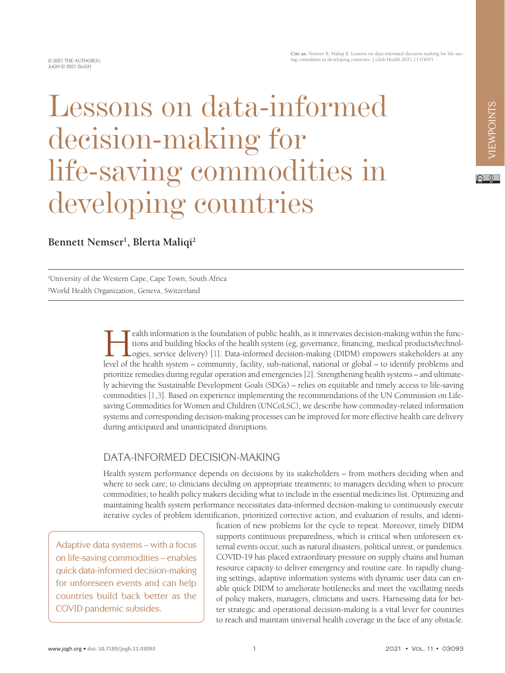$\circ$   $\circ$ 

**Cite as:** Nemser B, Maliqi B. Lessons on data-informed decision-making for life-saving comodities in developing countries. J Glob Health 2021,11:03093.

# Lessons on data-informed decision-making for life-saving commodities in developing countries

**Bennett Nemser1 , Blerta Maliqi2**

1 University of the Western Cape, Cape Town, South Africa 2 World Health Organization, Geneva, Switzerland

> Ealth information is the foundation of public health, as it innervates decision-making within the functions and building blocks of the health system (eg, governance, financing, medical products/technologies, service delive tions and building blocks of the health system (eg, governance, financing, medical products/technol-**L**ogies, service delivery) [1]. Data-informed decision-making (DIDM) empowers stakeholders at any level of the health system – community, facility, sub-national, national or global – to identify problems and prioritize remedies during regular operation and emergencies [[2\]](#page-3-1). Strengthening health systems – and ultimately achieving the Sustainable Development Goals (SDGs) – relies on equitable and timely access to life-saving commodities [\[1](#page-3-0),[3\]](#page-3-2). Based on experience implementing the recommendations of the UN Commission on Lifesaving Commodities for Women and Children (UNCoLSC), we describe how commodity-related information systems and corresponding decision-making processes can be improved for more effective health care delivery during anticipated and unanticipated disruptions.

## DATA-INFORMED DECISION-MAKING

Health system performance depends on decisions by its stakeholders – from mothers deciding when and where to seek care; to clinicians deciding on appropriate treatments; to managers deciding when to procure commodities; to health policy makers deciding what to include in the essential medicines list. Optimizing and maintaining health system performance necessitates data-informed decision-making to continuously execute iterative cycles of problem identification, prioritized corrective action, and evaluation of results, and identi-

Adaptive data systems – with a focus on life-saving commodities – enables quick data-informed decision-making for unforeseen events and can help countries build back better as the COVID pandemic subsides.

fication of new problems for the cycle to repeat. Moreover, timely DIDM supports continuous preparedness, which is critical when unforeseen external events occur, such as natural disasters, political unrest, or pandemics. COVID-19 has placed extraordinary pressure on supply chains and human resource capacity to deliver emergency and routine care. In rapidly changing settings, adaptive information systems with dynamic user data can enable quick DIDM to ameliorate bottlenecks and meet the vacillating needs of policy makers, managers, clinicians and users. Harnessing data for better strategic and operational decision-making is a vital lever for countries to reach and maintain universal health coverage in the face of any obstacle.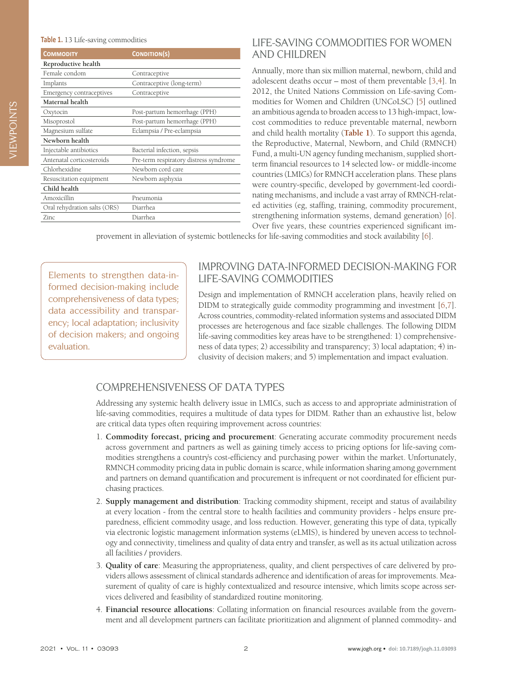<span id="page-1-0"></span>

| <b>COMMODITY</b>             | <b>CONDITION(S)</b>                    |
|------------------------------|----------------------------------------|
| Reproductive health          |                                        |
| Female condom                | Contraceptive                          |
| Implants                     | Contraceptive (long-term)              |
| Emergency contraceptives     | Contraceptive                          |
| Maternal health              |                                        |
| Oxytocin                     | Post-partum hemorrhage (PPH)           |
| Misoprostol                  | Post-partum hemorrhage (PPH)           |
| Magnesium sulfate            | Eclampsia / Pre-eclampsia              |
| Newborn health               |                                        |
| Injectable antibiotics       | Bacterial infection, sepsis            |
| Antenatal corticosteroids    | Pre-term respiratory distress syndrome |
| Chlorhexidine                | Newborn cord care                      |
| Resuscitation equipment      | Newborn asphyxia                       |
| Child health                 |                                        |
| Amoxicillin                  | Pneumonia                              |
| Oral rehydration salts (ORS) | Diarrhea                               |
| Zinc.                        | Diarrhea                               |

## LIFE-SAVING COMMODITIES FOR WOMEN AND CHILDREN

Annually, more than six million maternal, newborn, child and adolescent deaths occur – most of them preventable [\[3](#page-3-2),[4\]](#page-3-3). In 2012, the United Nations Commission on Life-saving Commodities for Women and Children (UNCoLSC) [\[5](#page-3-4)] outlined an ambitious agenda to broaden access to 13 high-impact, lowcost commodities to reduce preventable maternal, newborn and child health mortality (**[Table 1](#page-1-0)**). To support this agenda, the Reproductive, Maternal, Newborn, and Child (RMNCH) Fund, a multi-UN agency funding mechanism, supplied shortterm financial resources to 14 selected low- or middle-income countries (LMICs) for RMNCH acceleration plans. These plans were country-specific, developed by government-led coordinating mechanisms, and include a vast array of RMNCH-related activities (eg, staffing, training, commodity procurement, strengthening information systems, demand generation) [[6\]](#page-3-5). Over five years, these countries experienced significant im-

provement in alleviation of systemic bottlenecks for life-saving commodities and stock availability [[6\]](#page-3-5).

Elements to strengthen data-informed decision-making include comprehensiveness of data types; data accessibility and transparency; local adaptation; inclusivity of decision makers; and ongoing evaluation.

#### IMPROVING DATA-INFORMED DECISION-MAKING FOR LIFE-SAVING COMMODITIES

Design and implementation of RMNCH acceleration plans, heavily relied on DIDM to strategically guide commodity programming and investment [[6](#page-3-5),[7\]](#page-3-6). Across countries, commodity-related information systems and associated DIDM processes are heterogenous and face sizable challenges. The following DIDM life-saving commodities key areas have to be strengthened: 1) comprehensiveness of data types; 2) accessibility and transparency; 3) local adaptation; 4) inclusivity of decision makers; and 5) implementation and impact evaluation.

## COMPREHENSIVENESS OF DATA TYPES

Addressing any systemic health delivery issue in LMICs, such as access to and appropriate administration of life-saving commodities, requires a multitude of data types for DIDM. Rather than an exhaustive list, below are critical data types often requiring improvement across countries:

- 1. **Commodity forecast, pricing and procurement**: Generating accurate commodity procurement needs across government and partners as well as gaining timely access to pricing options for life-saving commodities strengthens a country's cost-efficiency and purchasing power within the market. Unfortunately, RMNCH commodity pricing data in public domain is scarce, while information sharing among government and partners on demand quantification and procurement is infrequent or not coordinated for efficient purchasing practices.
- 2. **Supply management and distribution**: Tracking commodity shipment, receipt and status of availability at every location - from the central store to health facilities and community providers - helps ensure preparedness, efficient commodity usage, and loss reduction. However, generating this type of data, typically via electronic logistic management information systems (eLMIS), is hindered by uneven access to technology and connectivity, timeliness and quality of data entry and transfer, as well as its actual utilization across all facilities / providers.
- 3. **Quality of care**: Measuring the appropriateness, quality, and client perspectives of care delivered by providers allows assessment of clinical standards adherence and identification of areas for improvements. Measurement of quality of care is highly contextualized and resource intensive, which limits scope across services delivered and feasibility of standardized routine monitoring.
- 4. **Financial resource allocations**: Collating information on financial resources available from the government and all development partners can facilitate prioritization and alignment of planned commodity- and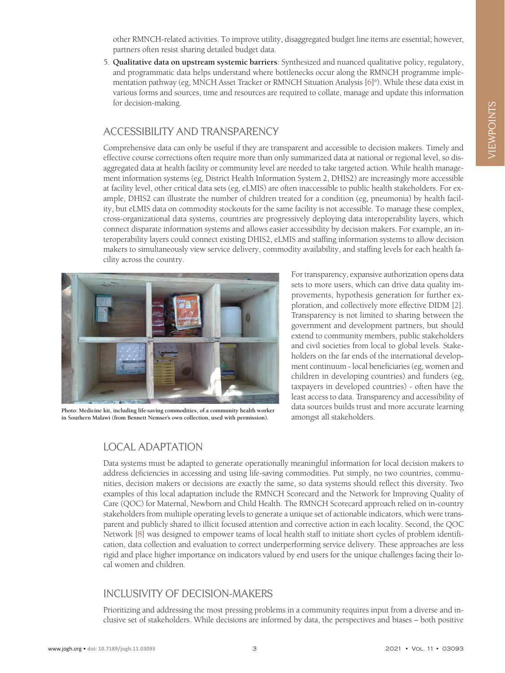other RMNCH-related activities. To improve utility, disaggregated budget line items are essential; however, partners often resist sharing detailed budget data.

5. **Qualitative data on upstream systemic barriers**: Synthesized and nuanced qualitative policy, regulatory, and programmatic data helps understand where bottlenecks occur along the RMNCH programme imple-mentation pathway (eg, MNCH Asset Tracker or RMNCH Situation Analysis [\[6](#page-3-5)]<sup>6</sup>). While these data exist in various forms and sources, time and resources are required to collate, manage and update this information for decision-making.

#### ACCESSIBILITY AND TRANSPARENCY

Comprehensive data can only be useful if they are transparent and accessible to decision makers. Timely and effective course corrections often require more than only summarized data at national or regional level, so disaggregated data at health facility or community level are needed to take targeted action. While health management information systems (eg, District Health Information System 2, DHIS2) are increasingly more accessible at facility level, other critical data sets (eg, eLMIS) are often inaccessible to public health stakeholders. For example, DHIS2 can illustrate the number of children treated for a condition (eg, pneumonia) by health facility, but eLMIS data on commodity stockouts for the same facility is not accessible. To manage these complex, cross-organizational data systems, countries are progressively deploying data interoperability layers, which connect disparate information systems and allows easier accessibility by decision makers. For example, an interoperability layers could connect existing DHIS2, eLMIS and staffing information systems to allow decision makers to simultaneously view service delivery, commodity availability, and staffing levels for each health facility across the country.



**Photo: Medicine kit, including life-saving commodities, of a community health worker in Southern Malawi (from Bennett Nemser's own collection, used with permission).**

For transparency, expansive authorization opens data sets to more users, which can drive data quality improvements, hypothesis generation for further exploration, and collectively more effective DIDM [\[2](#page-3-1)]. Transparency is not limited to sharing between the government and development partners, but should extend to community members, public stakeholders and civil societies from local to global levels. Stakeholders on the far ends of the international development continuum - local beneficiaries (eg, women and children in developing countries) and funders (eg, taxpayers in developed countries) - often have the least access to data. Transparency and accessibility of data sources builds trust and more accurate learning amongst all stakeholders.

## LOCAL ADAPTATION

Data systems must be adapted to generate operationally meaningful information for local decision makers to address deficiencies in accessing and using life-saving commodities. Put simply, no two countries, communities, decision makers or decisions are exactly the same, so data systems should reflect this diversity. Two examples of this local adaptation include the RMNCH Scorecard and the Network for Improving Quality of Care (QOC) for Maternal, Newborn and Child Health. The RMNCH Scorecard approach relied on in-country stakeholders from multiple operating levels to generate a unique set of actionable indicators, which were transparent and publicly shared to illicit focused attention and corrective action in each locality. Second, the QOC Network [\[8](#page-3-7)] was designed to empower teams of local health staff to initiate short cycles of problem identification, data collection and evaluation to correct underperforming service delivery. These approaches are less rigid and place higher importance on indicators valued by end users for the unique challenges facing their local women and children.

## INCLUSIVITY OF DECISION-MAKERS

Prioritizing and addressing the most pressing problems in a community requires input from a diverse and inclusive set of stakeholders. While decisions are informed by data, the perspectives and biases – both positive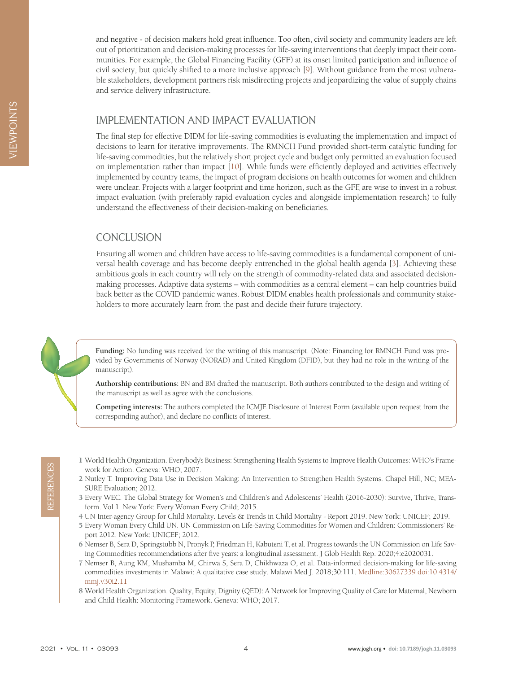and negative - of decision makers hold great influence. Too often, civil society and community leaders are left out of prioritization and decision-making processes for life-saving interventions that deeply impact their communities. For example, the Global Financing Facility (GFF) at its onset limited participation and influence of civil society, but quickly shifted to a more inclusive approach [[9\]](#page-4-0). Without guidance from the most vulnerable stakeholders, development partners risk misdirecting projects and jeopardizing the value of supply chains and service delivery infrastructure.

## IMPLEMENTATION AND IMPACT EVALUATION

The final step for effective DIDM for life-saving commodities is evaluating the implementation and impact of decisions to learn for iterative improvements. The RMNCH Fund provided short-term catalytic funding for life-saving commodities, but the relatively short project cycle and budget only permitted an evaluation focused on implementation rather than impact [\[10](#page-4-1)]. While funds were efficiently deployed and activities effectively implemented by country teams, the impact of program decisions on health outcomes for women and children were unclear. Projects with a larger footprint and time horizon, such as the GFF, are wise to invest in a robust impact evaluation (with preferably rapid evaluation cycles and alongside implementation research) to fully understand the effectiveness of their decision-making on beneficiaries.

## **CONCLUSION**

Ensuring all women and children have access to life-saving commodities is a fundamental component of universal health coverage and has become deeply entrenched in the global health agenda [\[3](#page-3-2)]. Achieving these ambitious goals in each country will rely on the strength of commodity-related data and associated decisionmaking processes. Adaptive data systems – with commodities as a central element – can help countries build back better as the COVID pandemic wanes. Robust DIDM enables health professionals and community stakeholders to more accurately learn from the past and decide their future trajectory.

**Funding:** No funding was received for the writing of this manuscript. (Note: Financing for RMNCH Fund was provided by Governments of Norway (NORAD) and United Kingdom (DFID), but they had no role in the writing of the manuscript).

**Authorship contributions:** BN and BM drafted the manuscript. Both authors contributed to the design and writing of the manuscript as well as agree with the conclusions.

**Competing interests:** The authors completed the ICMJE Disclosure of Interest Form (available upon request from the corresponding author), and declare no conflicts of interest.

- <span id="page-3-0"></span>1 World Health Organization. Everybody's Business: Strengthening Health Systems to Improve Health Outcomes: WHO's Framework for Action. Geneva: WHO; 2007.
- <span id="page-3-1"></span>2 Nutley T. Improving Data Use in Decision Making: An Intervention to Strengthen Health Systems. Chapel Hill, NC; MEA-SURE Evaluation; 2012.
- <span id="page-3-2"></span>3 Every WEC. The Global Strategy for Women's and Children's and Adolescents' Health (2016-2030): Survive, Thrive, Transform. Vol 1. New York: Every Woman Every Child; 2015.
- <span id="page-3-3"></span>4 UN Inter-agency Group for Child Mortality. Levels & Trends in Child Mortality - Report 2019. New York: UNICEF; 2019.
- <span id="page-3-4"></span>5 Every Woman Every Child UN. UN Commission on Life-Saving Commodities for Women and Children: Commissioners' Report 2012. New York: UNICEF; 2012.
- <span id="page-3-7"></span><span id="page-3-6"></span><span id="page-3-5"></span>6 Nemser B, Sera D, Springstubb N, Pronyk P, Friedman H, Kabuteni T, et al. Progress towards the UN Commission on Life Saving Commodities recommendations after five years: a longitudinal assessment. J Glob Health Rep. 2020;4:e2020031.
- 2022 Vol. 12 Muslim Depart of Aquist Cherena: WHO; 2007.<br>
22 Nulty I. Improving Data Use in Decision Making: An Intervention to Strengthen Health Systems. Chapel Hill, NC; MEA-<br>
22 SURE Evaluation; 2012.<br>
3 Every WEC. 7 Nemser B, Aung KM, Mushamba M, Chirwa S, Sera D, Chikhwaza O, et al. Data-informed decision-making for life-saving commodities investments in Malawi: A qualitative case study. Malawi Med J. 2018;30:111. [Medline:30627339](https://www.ncbi.nlm.nih.gov/entrez/query.fcgi?cmd=Retrieve&db=PubMed&list_uids=30627339&dopt=Abstract) [doi:10.4314/](https://doi.org/10.4314/mmj.v30i2.11) [mmj.v30i2.11](https://doi.org/10.4314/mmj.v30i2.11)
	- 8 World Health Organization. Quality, Equity, Dignity (QED): A Network for Improving Quality of Care for Maternal, Newborn and Child Health: Monitoring Framework. Geneva: WHO; 2017.